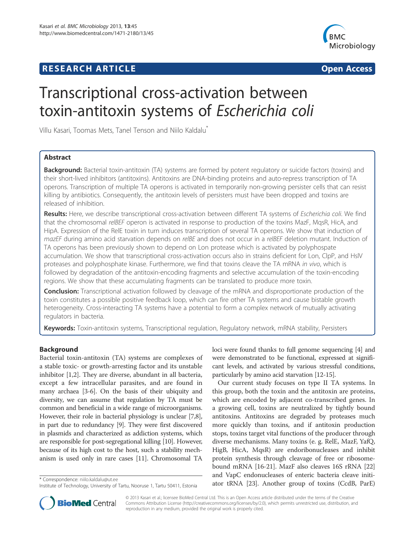# **RESEARCH ARTICLE Example 2014 CONSIDERING A RESEARCH ARTICLE**



# Transcriptional cross-activation between toxin-antitoxin systems of Escherichia coli

Villu Kasari, Toomas Mets, Tanel Tenson and Niilo Kaldalu\*

# Abstract

Background: Bacterial toxin-antitoxin (TA) systems are formed by potent regulatory or suicide factors (toxins) and their short-lived inhibitors (antitoxins). Antitoxins are DNA-binding proteins and auto-repress transcription of TA operons. Transcription of multiple TA operons is activated in temporarily non-growing persister cells that can resist killing by antibiotics. Consequently, the antitoxin levels of persisters must have been dropped and toxins are released of inhibition.

Results: Here, we describe transcriptional cross-activation between different TA systems of Escherichia coli. We find that the chromosomal relBEF operon is activated in response to production of the toxins MazF, MqsR, HicA, and HipA. Expression of the RelE toxin in turn induces transcription of several TA operons. We show that induction of mazEF during amino acid starvation depends on relBE and does not occur in a relBEF deletion mutant. Induction of TA operons has been previously shown to depend on Lon protease which is activated by polyphospate accumulation. We show that transcriptional cross-activation occurs also in strains deficient for Lon, ClpP, and HslV proteases and polyphosphate kinase. Furthermore, we find that toxins cleave the TA mRNA in vivo, which is followed by degradation of the antitoxin-encoding fragments and selective accumulation of the toxin-encoding regions. We show that these accumulating fragments can be translated to produce more toxin.

**Conclusion:** Transcriptional activation followed by cleavage of the mRNA and disproportionate production of the toxin constitutes a possible positive feedback loop, which can fire other TA systems and cause bistable growth heterogeneity. Cross-interacting TA systems have a potential to form a complex network of mutually activating regulators in bacteria.

Keywords: Toxin-antitoxin systems, Transcriptional regulation, Regulatory network, mRNA stability, Persisters

# Background

Bacterial toxin-antitoxin (TA) systems are complexes of a stable toxic- or growth-arresting factor and its unstable inhibitor [1,2]. They are diverse, abundant in all bacteria, except a few intracellular parasites, and are found in many archaea [3-6]. On the basis of their ubiquity and diversity, we can assume that regulation by TA must be common and beneficial in a wide range of microorganisms. However, their role in bacterial physiology is unclear [7,8], in part due to redundancy [9]. They were first discovered in plasmids and characterized as addiction systems, which are responsible for post-segregational killing [10]. However, because of its high cost to the host, such a stability mechanism is used only in rare cases [11]. Chromosomal TA

loci were found thanks to full genome sequencing [4] and were demonstrated to be functional, expressed at significant levels, and activated by various stressful conditions, particularly by amino acid starvation [12-15].

Our current study focuses on type II TA systems. In this group, both the toxin and the antitoxin are proteins, which are encoded by adjacent co-transcribed genes. In a growing cell, toxins are neutralized by tightly bound antitoxins. Antitoxins are degraded by proteases much more quickly than toxins, and if antitoxin production stops, toxins target vital functions of the producer through diverse mechanisms. Many toxins (e. g. RelE, MazF, YafQ, HigB, HicA, MqsR) are endoribonucleases and inhibit protein synthesis through cleavage of free or ribosomebound mRNA [16-21]. MazF also cleaves 16S rRNA [22] and VapC endonucleases of enteric bacteria cleave initiator tRNA [23]. Another group of toxins (CcdB, ParE) \* Correspondence: niilo.kaldalu@ut.ee



© 2013 Kasari et al.; licensee BioMed Central Ltd. This is an Open Access article distributed under the terms of the Creative Commons Attribution License (http://creativecommons.org/licenses/by/2.0), which permits unrestricted use, distribution, and reproduction in any medium, provided the original work is properly cited.

Institute of Technology, University of Tartu, Nooruse 1, Tartu 50411, Estonia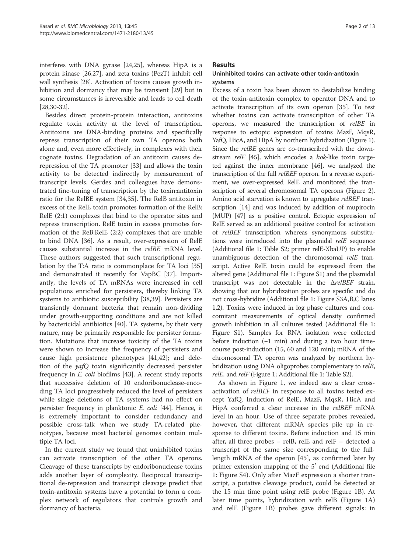interferes with DNA gyrase [24,25], whereas HipA is a protein kinase [26,27], and zeta toxins (PezT) inhibit cell wall synthesis [28]. Activation of toxins causes growth inhibition and dormancy that may be transient [29] but in some circumstances is irreversible and leads to cell death [28,30-32].

Besides direct protein-protein interaction, antitoxins regulate toxin activity at the level of transcription. Antitoxins are DNA-binding proteins and specifically repress transcription of their own TA operons both alone and, even more effectively, in complexes with their cognate toxins. Degradation of an antitoxin causes derepression of the TA promoter [33] and allows the toxin activity to be detected indirectly by measurement of transcript levels. Gerdes and colleagues have demonstrated fine-tuning of transcription by the toxin:antitoxin ratio for the RelBE system [34,35]. The RelB antitoxin in excess of the RelE toxin promotes formation of the RelB: RelE (2:1) complexes that bind to the operator sites and repress transcription. RelE toxin in excess promotes formation of the ReB:RelE (2:2) complexes that are unable to bind DNA [36]. As a result, over-expression of RelE causes substantial increase in the relBE mRNA level. These authors suggested that such transcriptional regulation by the T:A ratio is commonplace for TA loci [35] and demonstrated it recently for VapBC [37]. Importantly, the levels of TA mRNAs were increased in cell populations enriched for persisters, thereby linking TA systems to antibiotic susceptibility [38,39]. Persisters are transiently dormant bacteria that remain non-dividing under growth-supporting conditions and are not killed by bactericidal antibiotics [40]. TA systems, by their very nature, may be primarily responsible for persister formation. Mutations that increase toxicity of the TA toxins were shown to increase the frequency of persisters and cause high persistence phenotypes [41,42]; and deletion of the yafQ toxin significantly decreased persister frequency in E. coli biofilms [43]. A recent study reports that successive deletion of 10 endoribonuclease-encoding TA loci progressively reduced the level of persisters while single deletions of TA systems had no effect on persister frequency in planktonic E. coli [44]. Hence, it is extremely important to consider redundancy and possible cross-talk when we study TA-related phenotypes, because most bacterial genomes contain multiple TA loci.

In the current study we found that uninhibited toxins can activate transcription of the other TA operons. Cleavage of these transcripts by endoribonuclease toxins adds another layer of complexity. Reciprocal transcriptional de-repression and transcript cleavage predict that toxin-antitoxin systems have a potential to form a complex network of regulators that controls growth and dormancy of bacteria.

#### Results

### Uninhibited toxins can activate other toxin-antitoxin systems

Excess of a toxin has been shown to destabilize binding of the toxin-antitoxin complex to operator DNA and to activate transcription of its own operon [35]. To test whether toxins can activate transcription of other TA operons, we measured the transcription of relBE in response to ectopic expression of toxins MazF, MqsR, YafQ, HicA, and HipA by northern hybridization (Figure 1). Since the *relBE* genes are co-transcribed with the downstream relF [45], which encodes a hok-like toxin targeted against the inner membrane [46], we analyzed the transcription of the full relBEF operon. In a reverse experiment, we over-expressed RelE and monitored the transcription of several chromosomal TA operons (Figure 2). Amino acid starvation is known to upregulate relBEF transcription [14] and was induced by addition of mupirocin (MUP) [47] as a positive control. Ectopic expression of RelE served as an additional positive control for activation of relBEF transcription whereas synonymous substitutions were introduced into the plasmidal *relE* sequence (Additional file 1: Table S2; primer relE-XbaUP) to enable unambiguous detection of the chromosomal relE transcript. Active RelE toxin could be expressed from the altered gene (Additional file 1: Figure S1) and the plasmidal transcript was not detectable in the ΔrelBEF strain, showing that our hybridization probes are specific and do not cross-hybridize (Additional file 1: Figure S3A,B,C lanes 1,2). Toxins were induced in log phase cultures and concomitant measurements of optical density confirmed growth inhibition in all cultures tested (Additional file 1: Figure S1). Samples for RNA isolation were collected before induction (−1 min) and during a two hour timecourse post-induction (15, 60 and 120 min); mRNA of the chromosomal TA operon was analyzed by northern hybridization using DNA oligoprobes complementary to relB, relE, and relF (Figure 1; Additional file 1: Table S2).

As shown in Figure 1, we indeed saw a clear crossactivation of relBEF in response to all toxins tested except YafQ. Induction of RelE, MazF, MqsR, HicA and HipA conferred a clear increase in the relBEF mRNA level in an hour. Use of three separate probes revealed, however, that different mRNA species pile up in response to different toxins. Before induction and 15 min after, all three probes – relB, relE and relF – detected a transcript of the same size corresponding to the fulllength mRNA of the operon [45], as confirmed later by primer extension mapping of the  $5'$  end (Additional file 1: Figure S4). Only after MazF expression a shorter transcript, a putative cleavage product, could be detected at the 15 min time point using relE probe (Figure 1B). At later time points, hybridization with relB (Figure 1A) and relE (Figure 1B) probes gave different signals: in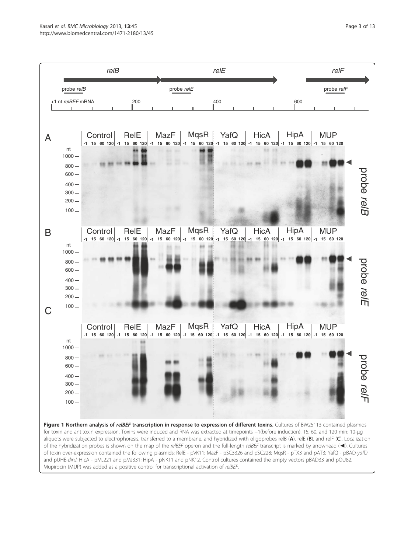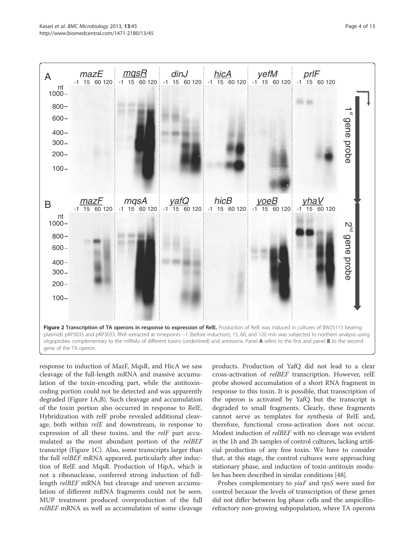

response to induction of MazF, MqsR, and HicA we saw cleavage of the full-length mRNA and massive accumulation of the toxin-encoding part, while the antitoxincoding portion could not be detected and was apparently degraded (Figure 1A,B). Such cleavage and accumulation of the toxin portion also occurred in response to RelE. Hybridization with relF probe revealed additional cleavage, both within *relE* and downstream, in response to expression of all these toxins, and the *relF* part accumulated as the most abundant portion of the relBEF transcript (Figure 1C). Also, some transcripts larger than the full relBEF mRNA appeared, particularly after induction of RelE and MqsR. Production of HipA, which is not a ribonuclease, conferred strong induction of fulllength *relBEF* mRNA but cleavage and uneven accumulation of different mRNA fragments could not be seen. MUP treatment produced overproduction of the full relBEF mRNA as well as accumulation of some cleavage

products. Production of YafQ did not lead to a clear cross-activation of relBEF transcription. However, relE probe showed accumulation of a short RNA fragment in response to this toxin. It is possible, that transcription of the operon is activated by YafQ but the transcript is degraded to small fragments. Clearly, these fragments cannot serve as templates for synthesis of RelE and, therefore, functional cross-activation does not occur. Modest induction of relBEF with no cleavage was evident in the 1h and 2h samples of control cultures, lacking artificial production of any free toxin. We have to consider that, at this stage, the control cultures were approaching stationary phase, and induction of toxin-antitoxin modules has been described in similar conditions [48].

Probes complementary to *yiaF* and *rpsS* were used for control because the levels of transcription of these genes did not differ between log phase cells and the ampicillinrefractory non-growing subpopulation, where TA operons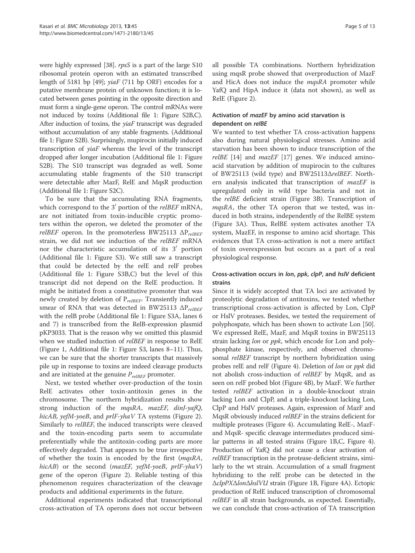were highly expressed [38]. rpsS is a part of the large S10 ribosomal protein operon with an estimated transcribed length of 5181 bp [49];  $viaF$  (711 bp ORF) encodes for a putative membrane protein of unknown function; it is located between genes pointing in the opposite direction and must form a single-gene operon. The control mRNAs were not induced by toxins (Additional file 1: Figure S2B,C). After induction of toxins, the  $viaF$  transcript was degraded without accumulation of any stable fragments. (Additional file 1: Figure S2B). Surprisingly, mupirocin initially induced transcription of  $yiaF$  whereas the level of the transcript dropped after longer incubation (Additional file 1: Figure S2B). The S10 transcript was degraded as well. Some accumulating stable fragments of the S10 transcript were detectable after MazF, RelE and MqsR production (Additional file 1: Figure S2C).

To be sure that the accumulating RNA fragments, which correspond to the 3 $^{\prime}$  portion of the *relBEF* mRNA, are not initiated from toxin-inducible cryptic promoters within the operon, we deleted the promoter of the *relBEF* operon. In the promoterless BW25113  $\Delta P_{relREF}$ strain, we did not see induction of the relBEF mRNA nor the characteristic accumulation of its  $3'$  portion (Additional file 1: Figure S3). We still saw a transcript that could be detected by the relE and relF probes (Additional file 1: Figure S3B,C) but the level of this transcript did not depend on the RelE production. It might be initiated from a constitutive promoter that was newly created by deletion of  $P_{relBEF}$ . Transiently induced smear of RNA that was detected in BW25113  $\Delta P_{relBEF}$ with the relB probe (Additional file 1: Figure S3A, lanes 6 and 7) is transcribed from the RelB-expression plasmid pKP3033. That is the reason why we omitted this plasmid when we studied induction of relBEF in response to RelE (Figure 1, Additional file 1: Figure S3, lanes 8–11). Thus, we can be sure that the shorter transcripts that massively pile up in response to toxins are indeed cleavage products and are initiated at the genuine  $P_{relBEF}$  promoter.

Next, we tested whether over-production of the toxin RelE activates other toxin-antitoxin genes in the chromosome. The northern hybridization results show strong induction of the mqsRA, mazEF, dinJ-yafQ, hicAB, yefM-yoeB, and  $prlF\text{-}yhaV$  TA systems (Figure 2). Similarly to relBEF, the induced transcripts were cleaved and the toxin-encoding parts seem to accumulate preferentially while the antitoxin-coding parts are more effectively degraded. That appears to be true irrespective of whether the toxin is encoded by the first (mqsRA, hicAB) or the second (mazEF, yefM-yoeB, prlF-yhaV) gene of the operon (Figure 2). Reliable testing of this phenomenon requires characterization of the cleavage products and additional experiments in the future.

Additional experiments indicated that transcriptional cross-activation of TA operons does not occur between

all possible TA combinations. Northern hybridization using mqsR probe showed that overproduction of MazF and HicA does not induce the *mqsRA* promoter while YafQ and HipA induce it (data not shown), as well as RelE (Figure 2).

### Activation of mazEF by amino acid starvation is dependent on relBE

We wanted to test whether TA cross-activation happens also during natural physiological stresses. Amino acid starvation has been shown to induce transcription of the  $relBE$  [14] and  $maxEF$  [17] genes. We induced aminoacid starvation by addition of mupirocin to the cultures of BW25113 (wild type) and BW25113ΔrelBEF. Northern analysis indicated that transcription of *mazEF* is upregulated only in wild type bacteria and not in the relBE deficient strain (Figure 3B). Transcription of mqsRA, the other TA operon that we tested, was induced in both strains, independently of the RelBE system (Figure 3A). Thus, RelBE system activates another TA system, MazEF, in response to amino acid shortage. This evidences that TA cross-activation is not a mere artifact of toxin overexpression but occurs as a part of a real physiological response.

# Cross-activation occurs in lon, ppk, clpP, and hslV deficient strains

Since it is widely accepted that TA loci are activated by proteolytic degradation of antitoxins, we tested whether transcriptional cross-activation is affected by Lon, ClpP or HslV proteases. Besides, we tested the requirement of polyphospate, which has been shown to activate Lon [50]. We expressed RelE, MazF, and MqsR toxins in BW25113 strain lacking *lon* or *ppk*, which encode for Lon and polyphosphate kinase, respectively, and observed chromosomal *relBEF* transcript by northern hybridization using probes relE and relF (Figure 4). Deletion of lon or ppk did not abolish cross-induction of relBEF by MqsR, and as seen on relF probed blot (Figure 4B), by MazF. We further tested relBEF activation in a double-knockout strain lacking Lon and ClpP, and a triple-knockout lacking Lon, ClpP and HslV proteases. Again, expression of MazF and MqsR obviously induced relBEF in the strains deficient for multiple proteases (Figure 4). Accumulating RelE-, MazFand MqsR- specific cleavage intermediates produced similar patterns in all tested strains (Figure 1B,C, Figure 4). Production of YafQ did not cause a clear activation of relBEF transcription in the protease-deficient strains, similarly to the wt strain. Accumulation of a small fragment hybridizing to the relE probe can be detected in the ΔclpPXΔlonΔhslVU strain (Figure 1B, Figure 4A). Ectopic production of RelE induced transcription of chromosomal relBEF in all strain backgrounds, as expected. Essentially, we can conclude that cross-activation of TA transcription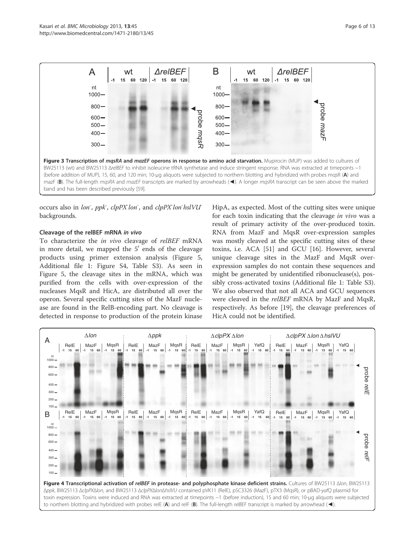

occurs also in lon<sup>-</sup>, ppk, clpPX<sup>-</sup>lon<sup>-</sup>, and clpPX<sup>-</sup>lon<sup>-</sup>hslVU<sup>-</sup> backgrounds.

#### Cleavage of the relBEF mRNA in vivo

To characterize the *in vivo* cleavage of *relBEF* mRNA in more detail, we mapped the  $5'$  ends of the cleavage products using primer extension analysis (Figure 5, Additional file 1: Figure S4, Table S3). As seen in Figure 5, the cleavage sites in the mRNA, which was purified from the cells with over-expression of the nucleases MqsR and HicA, are distributed all over the operon. Several specific cutting sites of the MazF nuclease are found in the RelB-encoding part. No cleavage is detected in response to production of the protein kinase HipA, as expected. Most of the cutting sites were unique for each toxin indicating that the cleavage in vivo was a result of primary activity of the over-produced toxin. RNA from MazF and MqsR over-expression samples was mostly cleaved at the specific cutting sites of these toxins, i.e. ACA [51] and GCU [16]. However, several unique cleavage sites in the MazF and MqsR overexpression samples do not contain these sequences and might be generated by unidentified ribonuclease(s), possibly cross-activated toxins (Additional file 1: Table S3). We also observed that not all ACA and GCU sequences were cleaved in the relBEF mRNA by MazF and MqsR, respectively. As before [19], the cleavage preferences of HicA could not be identified.

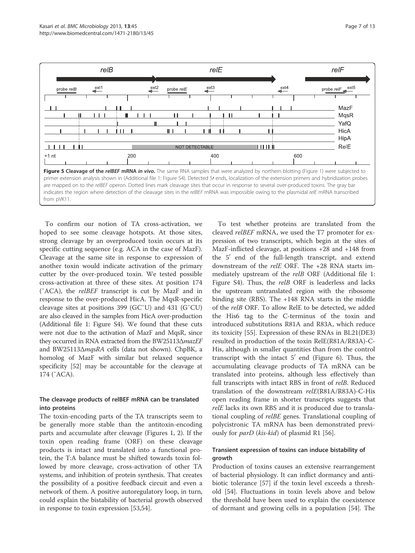

To confirm our notion of TA cross-activation, we hoped to see some cleavage hotspots. At those sites, strong cleavage by an overproduced toxin occurs at its specific cutting sequence (e.g. ACA in the case of MazF). Cleavage at the same site in response to expression of another toxin would indicate activation of the primary cutter by the over-produced toxin. We tested possible cross-activation at three of these sites. At position 174 (ˇACA), the relBEF transcript is cut by MazF and in response to the over-produced HicA. The MqsR-specific cleavage sites at positions 399 (GCˇU) and 431 (GˇCU) are also cleaved in the samples from HicA over-production (Additional file 1: Figure S4). We found that these cuts were not due to the activation of MazF and MqsR, since they occurred in RNA extracted from the BW25113ΔmazEF and BW25113ΔmqsRA cells (data not shown). ChpBK, a homolog of MazF with similar but relaxed sequence specificity [52] may be accountable for the cleavage at 174 (ˇACA).

### The cleavage products of relBEF mRNA can be translated into proteins

The toxin-encoding parts of the TA transcripts seem to be generally more stable than the antitoxin-encoding parts and accumulate after cleavage (Figures 1, 2). If the toxin open reading frame (ORF) on these cleavage products is intact and translated into a functional protein, the T:A balance must be shifted towards toxin followed by more cleavage, cross-activation of other TA systems, and inhibition of protein synthesis. That creates the possibility of a positive feedback circuit and even a network of them. A positive autoregulatory loop, in turn, could explain the bistability of bacterial growth observed in response to toxin expression [53,54].

To test whether proteins are translated from the cleaved relBEF mRNA, we used the T7 promoter for expression of two transcripts, which begin at the sites of MazF-inflicted cleavage, at positions +28 and +148 from the  $5'$  end of the full-length transcript, and extend downstream of the relE ORF. The +28 RNA starts immediately upstream of the relB ORF (Additional file 1: Figure S4). Thus, the relB ORF is leaderless and lacks the upstream untranslated region with the ribosome binding site (RBS). The +148 RNA starts in the middle of the relB ORF. To allow RelE to be detected, we added the His6 tag to the C-terminus of the toxin and introduced substitutions R81A and R83A, which reduce its toxicity [55]. Expression of these RNAs in BL21(DE3) resulted in production of the toxin RelE(R81A/R83A)-C-His, although in smaller quantities than from the control transcript with the intact  $5'$  end (Figure 6). Thus, the accumulating cleavage products of TA mRNA can be translated into proteins, although less effectively than full transcripts with intact RBS in front of relB. Reduced translation of the downstream relE(R81A/R83A)-C-His open reading frame in shorter transcripts suggests that relE lacks its own RBS and it is produced due to translational coupling of relBE genes. Translational coupling of polycistronic TA mRNA has been demonstrated previously for *parD* (*kis-kid*) of plasmid R1 [56].

# Transient expression of toxins can induce bistability of growth

Production of toxins causes an extensive rearrangement of bacterial physiology. It can inflict dormancy and antibiotic tolerance [57] if the toxin level exceeds a threshold [54]. Fluctuations in toxin levels above and below the threshold have been used to explain the coexistence of dormant and growing cells in a population [54]. The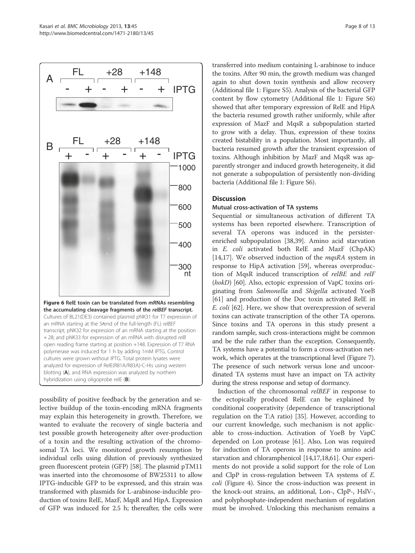

possibility of positive feedback by the generation and selective buildup of the toxin-encoding mRNA fragments may explain this heterogeneity in growth. Therefore, we wanted to evaluate the recovery of single bacteria and test possible growth heterogeneity after over-production of a toxin and the resulting activation of the chromosomal TA loci. We monitored growth resumption by individual cells using dilution of previously synthesized green fluorescent protein (GFP) [58]. The plasmid pTM11 was inserted into the chromosome of BW25311 to allow IPTG-inducible GFP to be expressed, and this strain was transformed with plasmids for L-arabinose-inducible production of toxins RelE, MazF, MqsR and HipA. Expression of GFP was induced for 2.5 h; thereafter, the cells were

transferred into medium containing L-arabinose to induce the toxins. After 90 min, the growth medium was changed again to shut down toxin synthesis and allow recovery (Additional file 1: Figure S5). Analysis of the bacterial GFP content by flow cytometry (Additional file 1: Figure S6) showed that after temporary expression of RelE and HipA the bacteria resumed growth rather uniformly, while after expression of MazF and MqsR a subpopulation started to grow with a delay. Thus, expression of these toxins created bistability in a population. Most importantly, all bacteria resumed growth after the transient expression of toxins. Although inhibition by MazF and MqsR was apparently stronger and induced growth heterogeneity, it did not generate a subpopulation of persistently non-dividing bacteria (Additional file 1: Figure S6).

#### **Discussion**

#### Mutual cross-activation of TA systems

Sequential or simultaneous activation of different TA systems has been reported elsewhere. Transcription of several TA operons was induced in the persisterenriched subpopulation [38,39]. Amino acid starvation in E. coli activated both RelE and MazF (ChpAK) [14,17]. We observed induction of the  $mqsRA$  system in response to HipA activation [59], whereas overproduction of MqsR induced transcription of relBE and relF (hokD) [60]. Also, ectopic expression of VapC toxins originating from Salmonella and Shigella activated YoeB [61] and production of the Doc toxin activated RelE in E. coli [62]. Here, we show that overexpression of several toxins can activate transcription of the other TA operons. Since toxins and TA operons in this study present a random sample, such cross-interactions might be common and be the rule rather than the exception. Consequently, TA systems have a potential to form a cross-activation network, which operates at the transcriptional level (Figure 7). The presence of such network versus lone and uncoordinated TA systems must have an impact on TA activity during the stress response and setup of dormancy.

Induction of the chromosomal relBEF in response to the ectopically produced RelE can be explained by conditional cooperativity (dependence of transcriptional regulation on the T:A ratio) [35]. However, according to our current knowledge, such mechanism is not applicable to cross-induction. Activation of YoeB by VapC depended on Lon protease [61]. Also, Lon was required for induction of TA operons in response to amino acid starvation and chloramphenicol [14,17,18,61]. Our experiments do not provide a solid support for the role of Lon and ClpP in cross-regulation between TA systems of E. coli (Figure 4). Since the cross-induction was present in the knock-out strains, an additional, Lon-, ClpP-, HslV-, and polyphosphate-independent mechanism of regulation must be involved. Unlocking this mechanism remains a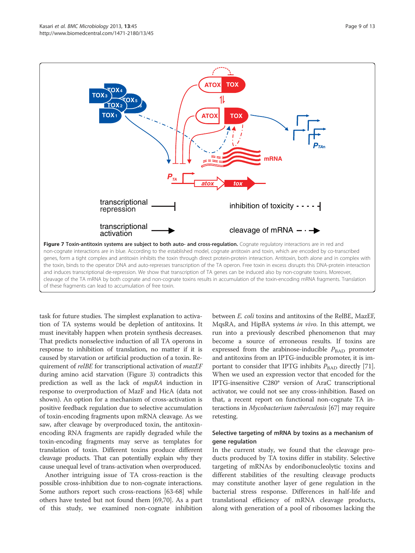

task for future studies. The simplest explanation to activation of TA systems would be depletion of antitoxins. It must inevitably happen when protein synthesis decreases. That predicts nonselective induction of all TA operons in response to inhibition of translation, no matter if it is caused by starvation or artificial production of a toxin. Requirement of *relBE* for transcriptional activation of *mazEF* during amino acid starvation (Figure 3) contradicts this prediction as well as the lack of mqsRA induction in response to overproduction of MazF and HicA (data not shown). An option for a mechanism of cross-activation is positive feedback regulation due to selective accumulation of toxin-encoding fragments upon mRNA cleavage. As we saw, after cleavage by overproduced toxin, the antitoxinencoding RNA fragments are rapidly degraded while the toxin-encoding fragments may serve as templates for translation of toxin. Different toxins produce different cleavage products. That can potentially explain why they cause unequal level of trans-activation when overproduced.

Another intriguing issue of TA cross-reaction is the possible cross-inhibition due to non-cognate interactions. Some authors report such cross-reactions [63-68] while others have tested but not found them [69,70]. As a part of this study, we examined non-cognate inhibition between E. coli toxins and antitoxins of the RelBE, MazEF, MqsRA, and HipBA systems in vivo. In this attempt, we run into a previously described phenomenon that may become a source of erroneous results. If toxins are expressed from the arabinose-inducible  $P_{\text{BAD}}$  promoter and antitoxins from an IPTG-inducible promoter, it is important to consider that IPTG inhibits  $P_{\text{BAD}}$  directly [71]. When we used an expression vector that encoded for the IPTG-insensitive C280\* version of AraC transcriptional activator, we could not see any cross-inhibition. Based on that, a recent report on functional non-cognate TA interactions in Mycobacterium tuberculosis [67] may require retesting.

#### Selective targeting of mRNA by toxins as a mechanism of gene regulation

In the current study, we found that the cleavage products produced by TA toxins differ in stability. Selective targeting of mRNAs by endoribonucleolytic toxins and different stabilities of the resulting cleavage products may constitute another layer of gene regulation in the bacterial stress response. Differences in half-life and translational efficiency of mRNA cleavage products, along with generation of a pool of ribosomes lacking the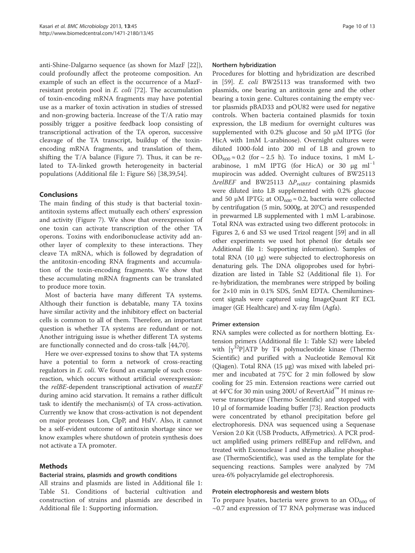anti-Shine-Dalgarno sequence (as shown for MazF [22]), could profoundly affect the proteome composition. An example of such an effect is the occurrence of a MazFresistant protein pool in E. coli [72]. The accumulation of toxin-encoding mRNA fragments may have potential use as a marker of toxin activation in studies of stressed and non-growing bacteria. Increase of the T/A ratio may possibly trigger a positive feedback loop consisting of transcriptional activation of the TA operon, successive cleavage of the TA transcript, buildup of the toxinencoding mRNA fragments, and translation of them, shifting the T/A balance (Figure 7). Thus, it can be related to TA-linked growth heterogeneity in bacterial populations (Additional file 1: Figure S6) [38,39,54].

### Conclusions

The main finding of this study is that bacterial toxinantitoxin systems affect mutually each others' expression and activity (Figure 7). We show that overexpression of one toxin can activate transcription of the other TA operons. Toxins with endoribonuclease activity add another layer of complexity to these interactions. They cleave TA mRNA, which is followed by degradation of the antitoxin-encoding RNA fragments and accumulation of the toxin-encoding fragments. We show that these accumulating mRNA fragments can be translated to produce more toxin.

Most of bacteria have many different TA systems. Although their function is debatable, many TA toxins have similar activity and the inhibitory effect on bacterial cells is common to all of them. Therefore, an important question is whether TA systems are redundant or not. Another intriguing issue is whether different TA systems are functionally connected and do cross-talk [44,70].

Here we over-expressed toxins to show that TA systems have a potential to form a network of cross-reacting regulators in E. coli. We found an example of such crossreaction, which occurs without artificial overexpression: the relBE-dependent transcriptional activation of mazEF during amino acid starvation. It remains a rather difficult task to identify the mechanism(s) of TA cross-activation. Currently we know that cross-activation is not dependent on major proteases Lon, ClpP, and HslV. Also, it cannot be a self-evident outcome of antitoxin shortage since we know examples where shutdown of protein synthesis does not activate a TA promoter.

#### Methods

#### Bacterial strains, plasmids and growth conditions

All strains and plasmids are listed in Additional file 1: Table S1. Conditions of bacterial cultivation and construction of strains and plasmids are described in Additional file 1: Supporting information.

#### Northern hybridization

Procedures for blotting and hybridization are described in [59]. E. coli BW25113 was transformed with two plasmids, one bearing an antitoxin gene and the other bearing a toxin gene. Cultures containing the empty vector plasmids pBAD33 and pOU82 were used for negative controls. When bacteria contained plasmids for toxin expression, the LB medium for overnight cultures was supplemented with 0.2% glucose and 50  $\mu$ M IPTG (for HicA with 1mM L-arabinose). Overnight cultures were diluted 1000-fold into 200 ml of LB and grown to OD<sub>600</sub>  $\approx$  0.2 (for  $\sim$  2.5 h). To induce toxins, 1 mM Larabinose, 1 mM IPTG (for HicA) or 30  $\mu$ g ml<sup>-1</sup> mupirocin was added. Overnight cultures of BW25113  $\triangle$ relBEF and BW25113  $\triangle$ P<sub>relBEF</sub> containing plasmids were diluted into LB supplemented with 0.2% glucose and 50 μM IPTG; at OD<sub>600</sub> ≈ 0.2, bacteria were collected by centrifugation (5 min, 5000g, at 20°C) and resuspended in prewarmed LB supplemented with 1 mM L-arabinose. Total RNA was extracted using two different protocols: in Figures 2, 6 and S3 we used Trizol reagent [59] and in all other experiments we used hot phenol (for details see Additional file 1: Supporting information). Samples of total RNA (10 μg) were subjected to electrophoresis on denaturing gels. The DNA oligoprobes used for hybridization are listed in Table S2 (Additional file 1). For re-hybridization, the membranes were stripped by boiling for 2×10 min in 0.1% SDS, 5mM EDTA. Chemiluminescent signals were captured using ImageQuant RT ECL imager (GE Healthcare) and X-ray film (Agfa).

#### Primer extension

RNA samples were collected as for northern blotting. Extension primers (Additional file 1: Table S2) were labeled with  $[y^{32}P]ATP$  by T4 polynucleotide kinase (Thermo Scientific) and purified with a Nucleotide Removal Kit (Qiagen). Total RNA (15 μg) was mixed with labeled primer and incubated at 75°C for 2 min followed by slow cooling for 25 min. Extension reactions were carried out at 44°C for 30 min using 200U of RevertAid™ H minus reverse transcriptase (Thermo Scientific) and stopped with 10 μl of formamide loading buffer [73]. Reaction products were concentrated by ethanol precipitation before gel electrophoresis. DNA was sequenced using a Sequenase Version 2.0 Kit (USB Products, Affymetrics). A PCR product amplified using primers relBEFup and relFdwn, and treated with Exonuclease I and shrimp alkaline phosphatase (ThermoScientific), was used as the template for the sequencing reactions. Samples were analyzed by 7M urea-6% polyacrylamide gel electrophoresis.

#### Protein electrophoresis and western blots

To prepare lysates, bacteria were grown to an  $OD_{600}$  of ~0.7 and expression of T7 RNA polymerase was induced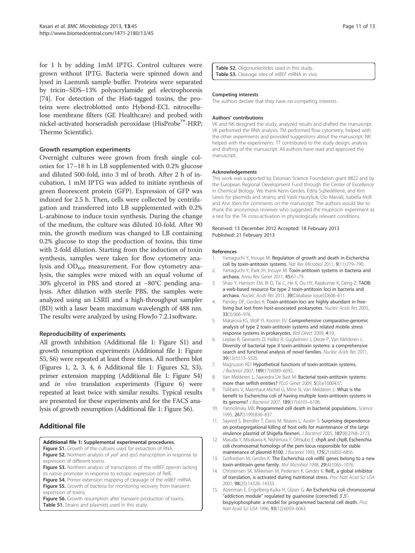for 1 h by adding 1mM IPTG. Control cultures were grown without IPTG. Bacteria were spinned down and lysed in Laemmli sample buffer. Proteins were separated by tricin–SDS–13% polyacrylamide gel electrophoresis [74]. For detection of the His6-tagged toxins, the proteins were electroblotted onto Hybond-ECL nitrocellulose membrane filters (GE Healthcare) and probed with nickel-activated horseradish peroxidase (HisProbe™-HRP; Thermo Scientific).

#### Growth resumption experiments

Overnight cultures were grown from fresh single colonies for 17–18 h in LB supplemented with 0.2% glucose and diluted 500-fold, into 3 ml of broth. After 2 h of incubation, 1 mM IPTG was added to initiate synthesis of green fluorescent protein (GFP). Expression of GFP was induced for 2.5 h. Then, cells were collected by centrifugation and transferred into LB supplemented with 0.2% L-arabinose to induce toxin synthesis. During the change of the medium, the culture was diluted 10-fold. After 90 min, the growth medium was changed to LB containing 0.2% glucose to stop the production of toxins, this time with 2-fold dilution. Starting from the induction of toxin synthesis, samples were taken for flow cytometry analysis and  $OD_{600}$  measurement. For flow cytometry analysis, the samples were mixed with an equal volume of 30% glycerol in PBS and stored at −80°C pending analysis. After dilution with sterile PBS, the samples were analyzed using an LSRII and a high-throughput sampler (BD) with a laser beam maximum wavelength of 488 nm. The results were analyzed by using FlowJo 7.2.1software.

# Reproducibility of experiments

All growth inhibition (Additional file 1: Figure S1) and growth resumption experiments (Additional file 1: Figure S5, S6) were repeated at least three times. All northern blot (Figures 1, 2, 3, 4, 6 Additional file 1: Figures S2, S3), primer extension mapping (Additional file 1: Figure S4) and in vivo translation experiments (Figure 6) were repeated at least twice with similar results. Typical results are presented for these experiments and for the FACS analysis of growth resumption (Additional file 1: Figure S6).

# Additional file

#### Additional file 1: Supplemental experimental procedures.

**Figure S1.** Growth of the cultures used for extraction of RNA.

Figure S2. Northern analysis of yiaF and rpsS transcription in response to expression of different toxins.

Figure S3. Northern analysis of transcription of the relBEF operon lacking its native promoter in response to ectopic expression of RelE.

Figure S4. Primer extension mapping of cleavage of the relBEF mRNA. Figure S5. Growth of bacteria for monitoring recovery from transient expression of toxins.

Figure S6. Growth resumption after transient production of toxins. Table S1. Strains and plasmids used in this study.

Table S2. Oligonucleotides used in this study. Table S3. Cleavage sites of reIBEF mRNA in vivo.

#### Competing interests

The authors declare that they have no competing interests.

#### Authors' contributions

VK and NK designed the study, analyzed results and drafted the manuscript. VK performed the RNA analysis. TM performed flow cytometry, helped with the other experiments and provided suggestions about the manuscript. NK helped with the experiments. TT contributed to the study design, analysis and drafting of the manuscript. All authors have read and approved the manuscript.

#### Acknowledgements

This work was supported by Estonian Science Foundation grant 8822 and by the European Regional Development Fund through the Center of Excellence in Chemical Biology. We thank Kenn Gerdes, Edita Sužiedėlienė, and Kim Lewis for plasmids and strains; and Vasili Hauryliuk, Ülo Maiväli, Isabella Moll and Arvi Jõers for comments on the manuscript. The authors would like to thank the anonymous reviewer who suggested the mupirocin experiment as a test for the TA cross-activation in physiologically relevant conditions.

#### Received: 13 December 2012 Accepted: 18 February 2013 Published: 21 February 2013

#### References

- 1. Yamaguchi Y, Inouye M: Regulation of growth and death in Escherichia coli by toxin-antitoxin systems. Nat Rev Microbiol 2011, 9(11):779–790.
- 2. Yamaguchi Y, Park JH, Inouye M: Toxin-antitoxin systems in bacteria and archaea. Annu Rev Genet 2011, 45:61–79.
- 3. Shao Y, Harrison EM, Bi D, Tai C, He X, Ou HY, Rajakumar K, Deng Z: TADB: a web-based resource for type 2 toxin-antitoxin loci in bacteria and archaea. Nucleic Acids Res 2011, 39(Database issue):D606–611.
- 4. Pandey DP, Gerdes K: Toxin-antitoxin loci are highly abundant in freeliving but lost from host-associated prokaryotes. Nucleic Acids Res 2005, 33(3):966–976.
- 5. Makarova KS, Wolf YI, Koonin EV: Comprehensive comparative-genomic analysis of type 2 toxin-antitoxin systems and related mobile stress response systems in prokaryotes. Biol Direct 2009, 4:19.
- 6. Leplae R, Geeraerts D, Hallez R, Guglielmini J, Dreze P, Van Melderen L: Diversity of bacterial type II toxin-antitoxin systems: a comprehensive search and functional analysis of novel families. Nucleic Acids Res 2011, 39(13):5513–5525.
- 7. Magnuson RD: Hypothetical functions of toxin-antitoxin systems. J Bacteriol 2007, 189(17):6089–6092.
- 8. Van Melderen L, Saavedra De Bast M: Bacterial toxin-antitoxin systems: more than selfish entities? PLoS Genet 2009, 5(3):e1000437
- 9. Tsilibaris V, Maenhaut-Michel G, Mine N, Van Melderen L: What is the benefit to Escherichia coli of having multiple toxin-antitoxin systems in its genome? J Bacteriol 2007, 189(17):6101–6108.
- 10. Yarmolinsky MB: Programmed cell death in bacterial populations. Science 1995, 267(5199):836–837.
- 11. Sayeed S, Brendler T, Davis M, Reaves L, Austin S: Surprising dependence on postsegregational killing of host cells for maintenance of the large virulence plasmid of Shigella flexneri. J Bacteriol 2005, 187(8):2768–2773.
- 12. Masuda Y, Miyakawa K, Nishimura Y, Ohtsubo E: chpA and chpB, Escherichia coli chromosomal homologs of the pem locus responsible for stable maintenance of plasmid R100. J Bacteriol 1993, 175(21):6850-6856.
- 13. Gotfredsen M, Gerdes K: The Escherichia coli relBE genes belong to a new toxin-antitoxin gene family. Mol Microbiol 1998, 29(4):1065–1076.
- 14. Christensen SK, Mikkelsen M, Pedersen K, Gerdes K: RelE, a global inhibitor of translation, is activated during nutritional stress. Proc Natl Acad Sci USA 2001, 98(25):14328–14333.
- 15. Aizenman E, Engelberg-Kulka H, Glaser G: An Escherichia coli chromosomal "addiction module" regulated by guanosine [corrected] 3',5'bispyrophosphate: a model for programmed bacterial cell death. Proc Natl Acad Sci USA 1996, 93(12):6059–6063.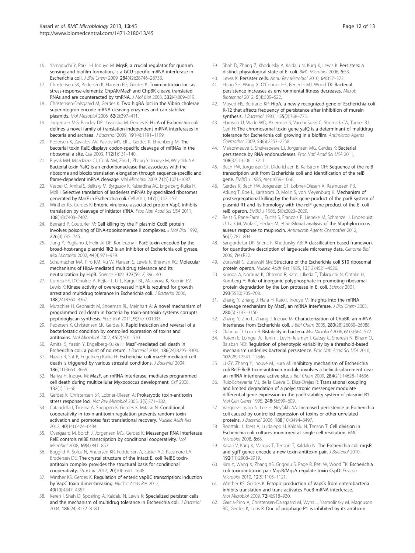- 16. Yamaguchi Y, Park JH, Inouye M: MqsR, a crucial regulator for quorum sensing and biofilm formation, is a GCU-specific mRNA interferase in Escherichia coli. J Biol Chem 2009, 284(42):28746–28753.
- 17. Christensen SK, Pedersen K, Hansen FG, Gerdes K: Toxin-antitoxin loci as stress-response-elements: ChpAK/MazF and ChpBK cleave translated RNAs and are counteracted by tmRNA. J Mol Biol 2003, 332(4):809–819.
- 18. Christensen-Dalsgaard M, Gerdes K: Two higBA loci in the Vibrio cholerae superintegron encode mRNA cleaving enzymes and can stabilize plasmids. Mol Microbiol 2006, 62(2):397–411.
- 19. Jorgensen MG, Pandey DP, Jaskolska M, Gerdes K: HicA of Escherichia coli defines a novel family of translation-independent mRNA interferases in bacteria and archaea. J Bacteriol 2009, 191(4):1191–1199.
- 20. Pedersen K, Zavialov AV, Pavlov MY, Elf J, Gerdes K, Ehrenberg M: The bacterial toxin RelE displays codon-specific cleavage of mRNAs in the ribosomal a site. Cell 2003, 112(1):131–140.
- 21. Prysak MH, Mozdzierz CJ, Cook AM, Zhu L, Zhang Y, Inouye M, Woychik NA: Bacterial toxin YafQ is an endoribonuclease that associates with the ribosome and blocks translation elongation through sequence-specific and frame-dependent mRNA cleavage. Mol Microbiol 2009, 71(5):1071–1087.
- 22. Vesper O, Amitai S, Belitsky M, Byrgazov K, Kaberdina AC, Engelberg-Kulka H, Moll I: Selective translation of leaderless mRNAs by specialized ribosomes generated by MazF in Escherichia coli. Cell 2011, 147(1):147–157.
- 23. Winther KS, Gerdes K: Enteric virulence associated protein VapC inhibits translation by cleavage of initiator tRNA. Proc Natl Acad Sci USA 2011, 108(18):7403–7407.
- 24. Bernard P, Couturier M: Cell killing by the F plasmid CcdB protein involves poisoning of DNA-topoisomerase II complexes. J Mol Biol 1992, 226(3):735–745.
- 25. Jiang Y, Pogliano J, Helinski DR, Konieczny I: ParE toxin encoded by the broad-host-range plasmid RK2 is an inhibitor of Escherichia coli gyrase. Mol Microbiol 2002, 44(4):971–979.
- 26. Schumacher MA, Piro KM, Xu W, Hansen S, Lewis K, Brennan RG: Molecular mechanisms of HipA-mediated multidrug tolerance and its neutralization by HipB. Science 2009, 323(5912):396–401.
- 27. Correia FF, D'Onofrio A, Rejtar T, Li L, Karger BL, Makarova K, Koonin EV, Lewis K: Kinase activity of overexpressed HipA is required for growth arrest and multidrug tolerance in Escherichia coli. J Bacteriol 2006, 188(24):8360–8367.
- 28. Mutschler H, Gebhardt M, Shoeman RL, Meinhart A: A novel mechanism of programmed cell death in bacteria by toxin-antitoxin systems corrupts peptidoglycan synthesis. PLoS Biol 2011, 9(3):e1001033.
- 29. Pedersen K, Christensen SK, Gerdes K: Rapid induction and reversal of a bacteriostatic condition by controlled expression of toxins and antitoxins. Mol Microbiol 2002, 45(2):501–510.
- 30. Amitai S, Yassin Y, Engelberg-Kulka H: MazF-mediated cell death in Escherichia coli: a point of no return. J Bacteriol 2004, 186(24):8295–8300.
- 31. Hazan R, Sat B, Engelberg-Kulka H: Escherichia coli mazEF-mediated cell death is triggered by various stressful conditions. J Bacteriol 2004, 186(11):3663–3669.
- 32. Nariya H, Inouye M: MazF, an mRNA interferase, mediates programmed cell death during multicellular Myxococcus development. Cell 2008, 132(1):55–66.
- 33. Gerdes K, Christensen SK, Lobner-Olesen A: Prokaryotic toxin-antitoxin stress response loci. Nat Rev Microbiol 2005, 3(5):371–382.
- 34. Cataudella I, Trusina A, Sneppen K, Gerdes K, Mitarai N: Conditional cooperativity in toxin-antitoxin regulation prevents random toxin activation and promotes fast translational recovery. Nucleic Acids Res 2012, 40(14):6424–6434.
- 35. Overgaard M, Borch J, Jorgensen MG, Gerdes K: Messenger RNA interferase RelE controls relBE transcription by conditional cooperativity. Mol Microbiol 2008, 69(4):841–857.
- 36. Boggild A, Sofos N, Andersen KR, Feddersen A, Easter AD, Passmore LA, Brodersen DE: The crystal structure of the intact E. coli RelBE toxinantitoxin complex provides the structural basis for conditional cooperativity. Structure 2012, 20(10):1641–1648.
- 37. Winther KS, Gerdes K: Regulation of enteric vapBC transcription: induction by VapC toxin dimer-breaking. Nucleic Acids Res 2012, 40(10):4347–4357.
- 38. Keren I, Shah D, Spoering A, Kaldalu N, Lewis K: Specialized persister cells and the mechanism of multidrug tolerance in Escherichia coli. J Bacteriol 2004, 186(24):8172–8180.
- 39. Shah D, Zhang Z, Khodursky A, Kaldalu N, Kurg K, Lewis K: Persisters: a distinct physiological state of E. coli. BMC Microbiol 2006, 6:53.
- 40. Lewis K: Persister cells. Annu Rev Microbiol 2010, 64:357–372.
- 41. Hong SH, Wang X, O'Connor HF, Benedik MJ, Wood TK: Bacterial persistence increases as environmental fitness decreases. Microb Biotechnol 2012, 5(4):509–522.
- 42. Moyed HS, Bertrand KP: HipA, a newly recognized gene of Escherichia coli K-12 that affects frequency of persistence after inhibition of murein synthesis. J Bacteriol 1983, 155(2):768–775.
- 43. Harrison JJ, Wade WD, Akierman S, Vacchi-Suzzi C, Stremick CA, Turner RJ, Ceri H: The chromosomal toxin gene yafQ is a determinant of multidrug tolerance for Escherichia coli growing in a biofilm. Antimicrob Agents Chemother 2009, 53(6):2253–2258.
- 44. Maisonneuve E, Shakespeare LJ, Jorgensen MG, Gerdes K: Bacterial persistence by RNA endonucleases. Proc Natl Acad Sci USA 2011, 108(32):13206–13211.
- 45. Bech FW, Jorgensen ST, Diderichsen B, Karlstrom OH: Sequence of the relB transcription unit from Escherichia coli and identification of the relB gene. EMBO J 1985, 4(4):1059–1066.
- 46. Gerdes K, Bech FW, Jorgensen ST, Lobner-Olesen A, Rasmussen PB, Atlung T, Boe L, Karlstrom O, Molin S, von Meyenburg K: Mechanism of postsegregational killing by the hok gene product of the parB system of plasmid R1 and its homology with the relF gene product of the E. coli relB operon. EMBO J 1986, 5(8):2023–2029.
- 47. Reiss S, Pane-Farre J, Fuchs S, Francois P, Liebeke M, Schrenzel J, Lindequist U, Lalk M, Wolz C, Hecker M, et al: Global analysis of the Staphylococcus aureus response to mupirocin. Antimicrob Agents Chemother 2012, 56(2):787–804.
- 48. Sangurdekar DP, Srienc F, Khodursky AB: A classification based framework for quantitative description of large-scale microarray data. Genome Biol 2006, 7(4):R32.
- 49. Zurawski G, Zurawski SM: Structure of the Escherichia coli S10 ribosomal protein operon. Nucleic Acids Res 1985, 13(12):4521–4526.
- 50. Kuroda A, Nomura K, Ohtomo R, Kato J, Ikeda T, Takiguchi N, Ohtake H, Kornberg A: Role of inorganic polyphosphate in promoting ribosomal protein degradation by the Lon protease in E. coli. Science 2001, 293(5530):705–708.
- 51. Zhang Y, Zhang J, Hara H, Kato I, Inouye M: Insights into the mRNA cleavage mechanism by MazF, an mRNA interferase. J Biol Chem 2005, 280(5):3143–3150.
- 52. Zhang Y, Zhu L, Zhang J, Inouye M: Characterization of ChpBK, an mRNA interferase from Escherichia coli. J Biol Chem 2005, 280(28):26080–26088.
- 53. Dubnau D, Losick R: Bistability in bacteria. Mol Microbiol 2006, 61(3):564-572.
- 54. Rotem E, Loinger A, Ronin I, Levin-Reisman I, Gabay C, Shoresh N, Biham O, Balaban NQ: Regulation of phenotypic variability by a threshold-based mechanism underlies bacterial persistence. Proc Natl Acad Sci USA 2010, 107(28):12541–12546.
- 55. Li GY, Zhang Y, Inouye M, Ikura M: Inhibitory mechanism of Escherichia coli RelE-RelB toxin-antitoxin module involves a helix displacement near an mRNA interferase active site. J Biol Chem 2009, 284(21):14628-14636.
- 56. Ruiz-Echevarria MJ, de la Cueva G, Diaz-Orejas R: Translational coupling and limited degradation of a polycistronic messenger modulate differential gene expression in the parD stability system of plasmid R1. Mol Gen Genet 1995, 248(5):599–609.
- 57. Vazquez-Laslop N, Lee H, Neyfakh AA: Increased persistence in Escherichia coli caused by controlled expression of toxins or other unrelated proteins. J Bacteriol 2006, 188(10):3494–3497.
- 58. Roostalu J, Joers A, Luidalepp H, Kaldalu N, Tenson T: Cell division in Escherichia coli cultures monitored at single cell resolution. BMC Microbiol 2008, 8:68.
- 59. Kasari V, Kurg K, Margus T, Tenson T, Kaldalu N: The Escherichia coli mqsR and ygiT genes encode a new toxin-antitoxin pair. J Bacteriol 2010, 192(11):2908–2919.
- 60. Kim Y, Wang X, Zhang XS, Grigoriu S, Page R, Peti W, Wood TK: Escherichia coli toxin/antitoxin pair MqsR/MqsA regulate toxin CspD. Environ Microbiol 2010, 12(5):1105–1121.
- 61. Winther KS, Gerdes K: Ectopic production of VapCs from enterobacteria inhibits translation and trans-activates YoeB mRNA interferase. Mol Microbiol 2009, 72(4):918–930.
- 62. Garcia-Pino A, Christensen-Dalsgaard M, Wyns L, Yarmolinsky M, Magnuson RD, Gerdes K, Loris R: Doc of prophage P1 is inhibited by its antitoxin